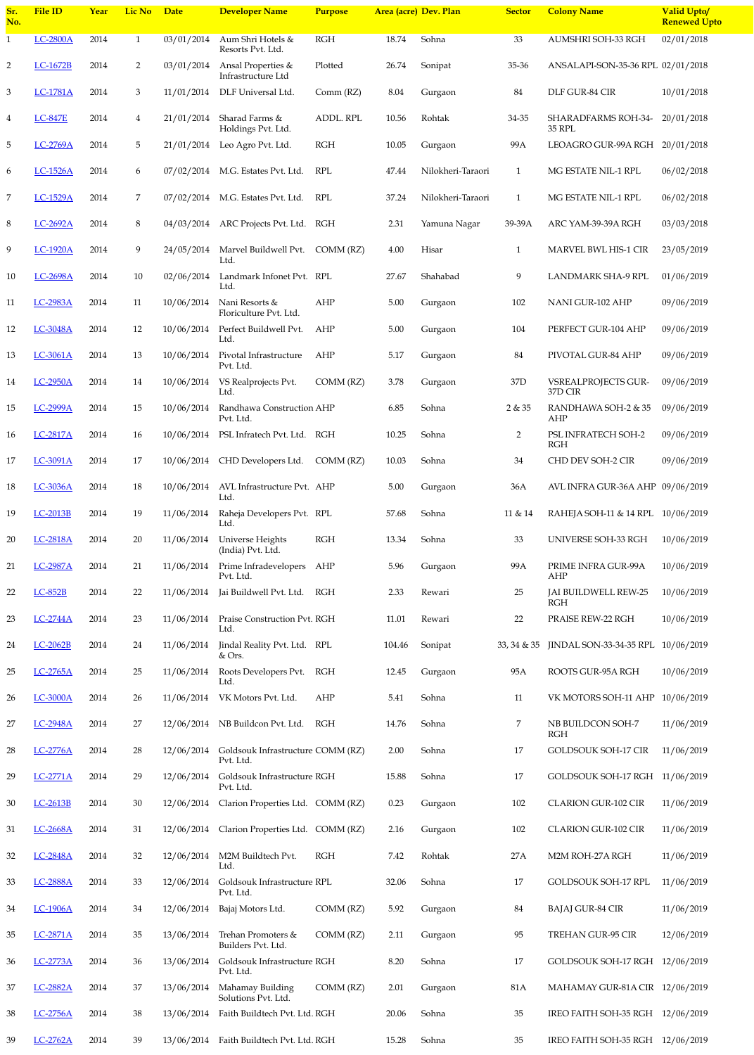| 18 | <b>LC-3036A</b> | 2014 | 18     | 10/06/2014 | AVL Infrastructure Pvt. AHP<br>Ltd.            |            | 5.00   | Gurgad |
|----|-----------------|------|--------|------------|------------------------------------------------|------------|--------|--------|
| 19 | LC-2013B        | 2014 | 19     | 11/06/2014 | Raheja Developers Pvt. RPL<br>Ltd.             |            | 57.68  | Sohna  |
| 20 | <b>LC-2818A</b> | 2014 | 20     | 11/06/2014 | Universe Heights<br>(India) Pvt. Ltd.          | <b>RGH</b> | 13.34  | Sohna  |
| 21 | LC-2987A        | 2014 | 21     | 11/06/2014 | Prime Infradevelopers<br>Pvt. Ltd.             | AHP        | 5.96   | Gurgad |
| 22 | $LC-852B$       | 2014 | 22     | 11/06/2014 | Jai Buildwell Pvt. Ltd.                        | <b>RGH</b> | 2.33   | Rewari |
| 23 | LC-2744A        | 2014 | 23     | 11/06/2014 | Praise Construction Pvt. RGH<br>Ltd.           |            | 11.01  | Rewari |
| 24 | LC-2062B        | 2014 | 24     | 11/06/2014 | Jindal Reality Pvt. Ltd. RPL<br>& Ors.         |            | 104.46 | Sonipa |
| 25 | <b>LC-2765A</b> | 2014 | 25     | 11/06/2014 | Roots Developers Pvt.<br>Ltd.                  | <b>RGH</b> | 12.45  | Gurgad |
| 26 | <b>LC-3000A</b> | 2014 | 26     | 11/06/2014 | VK Motors Pvt. Ltd.                            | AHP        | 5.41   | Sohna  |
| 27 | <b>LC-2948A</b> | 2014 | $27\,$ | 12/06/2014 | NB Buildcon Pvt. Ltd.                          | <b>RGH</b> | 14.76  | Sohna  |
| 28 | LC-2776A        | 2014 | 28     | 12/06/2014 | Goldsouk Infrastructure COMM (RZ)<br>Pvt. Ltd. |            | 2.00   | Sohna  |
| 29 | LC-2771A        | 2014 | 29     | 12/06/2014 | Goldsouk Infrastructure RGH<br>Pvt. Ltd.       |            | 15.88  | Sohna  |
| 30 | LC-2613B        | 2014 | 30     | 12/06/2014 | Clarion Properties Ltd. COMM (RZ)              |            | 0.23   | Gurgad |
| 31 | <b>LC-2668A</b> | 2014 | 31     | 12/06/2014 | Clarion Properties Ltd.                        | COMM (RZ)  | 2.16   | Gurgad |
| 32 | <b>LC-2848A</b> | 2014 | 32     | 12/06/2014 | M2M Buildtech Pvt.<br>Ltd.                     | <b>RGH</b> | 7.42   | Rohtak |
| 33 | <b>LC-2888A</b> | 2014 | 33     | 12/06/2014 | Goldsouk Infrastructure RPL<br>Pvt. Ltd.       |            | 32.06  | Sohna  |
| 34 | <b>LC-1906A</b> | 2014 | 34     | 12/06/2014 | Bajaj Motors Ltd.                              | COMM (RZ)  | 5.92   | Gurgad |
| 35 | LC-2871A        | 2014 | 35     | 13/06/2014 | Trehan Promoters &<br>Builders Pvt. Ltd.       | COMM (RZ)  | 2.11   | Gurgad |
| 36 | <b>LC-2773A</b> | 2014 | 36     | 13/06/2014 | Goldsouk Infrastructure RGH<br>Pvt. Ltd.       |            | 8.20   | Sohna  |
| 37 | LC-2882A        | 2014 | 37     | 13/06/2014 | Mahamay Building<br>Solutions Pvt. Ltd.        | COMM (RZ)  | 2.01   | Gurgad |
| 38 | <b>LC-2756A</b> | 2014 | 38     | 13/06/2014 | Faith Buildtech Pvt. Ltd. RGH                  |            | 20.06  | Sohna  |
| 39 | LC-2762A        | 2014 | 39     | 13/06/2014 | Faith Buildtech Pvt. Ltd. RGH                  |            | 15.28  | Sohna  |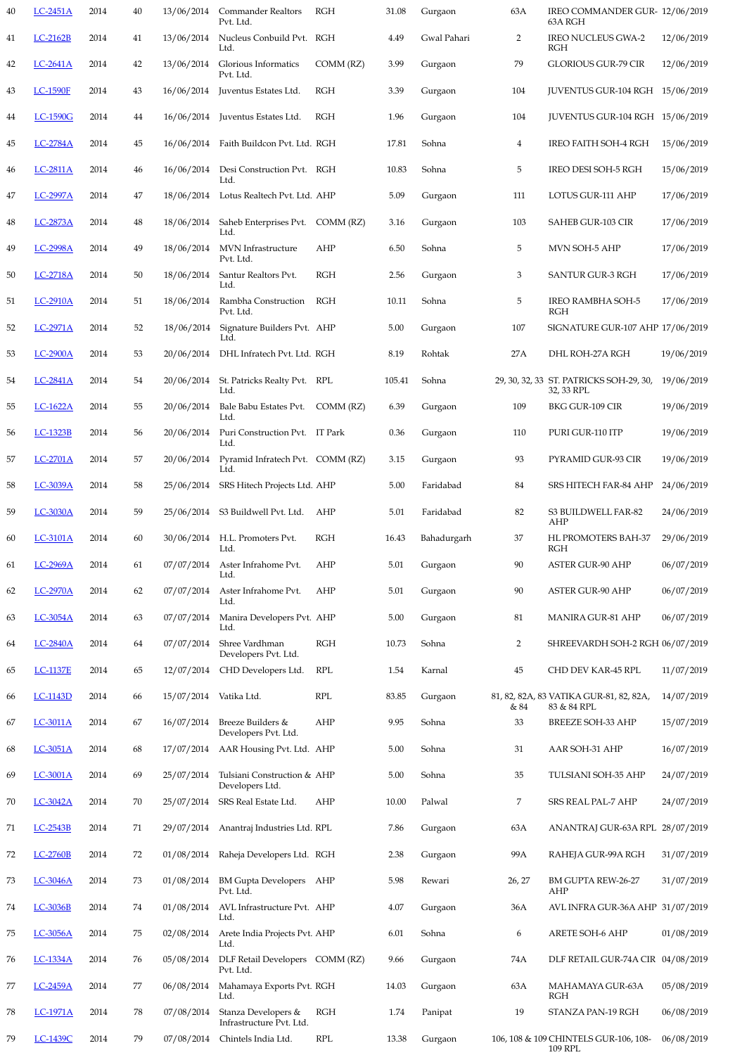| 58 | LC-3039A        | 2014 | 58 | 25/06/2014 | SRS Hitech Projects Ltd. AHP                    |                           | $5.00\,$ | Farida             |
|----|-----------------|------|----|------------|-------------------------------------------------|---------------------------|----------|--------------------|
| 59 | <b>LC-3030A</b> | 2014 | 59 | 25/06/2014 | S3 Buildwell Pvt. Ltd.                          | AHP                       | 5.01     | Farida             |
| 60 | <b>LC-3101A</b> | 2014 | 60 | 30/06/2014 | H.L. Promoters Pvt.<br>Ltd.                     | <b>RGH</b>                | 16.43    | Bahadı             |
| 61 | LC-2969A        | 2014 | 61 | 07/07/2014 | Aster Infrahome Pvt.<br>Ltd.                    | <b>AHP</b>                | 5.01     | Gurgad             |
| 62 | <b>LC-2970A</b> | 2014 | 62 | 07/07/2014 | Aster Infrahome Pvt.<br>Ltd.                    | <b>AHP</b>                | 5.01     | Gurgad             |
| 63 | <b>LC-3054A</b> | 2014 | 63 | 07/07/2014 | Manira Developers Pvt. AHP<br>Ltd.              |                           | 5.00     | Gurgad             |
| 64 | <b>LC-2840A</b> | 2014 | 64 | 07/07/2014 | Shree Vardhman<br>Developers Pvt. Ltd.          | RGH                       | 10.73    | Sohna              |
| 65 | <b>LC-1137E</b> | 2014 | 65 | 12/07/2014 | CHD Developers Ltd.                             | <b>RPL</b>                | 1.54     | Karnal             |
| 66 | <b>LC-1143D</b> | 2014 | 66 | 15/07/2014 | Vatika Ltd.                                     | $\ensuremath{\text{RPL}}$ | 83.85    | Gurgad             |
| 67 | LC-3011A        | 2014 | 67 | 16/07/2014 | Breeze Builders &<br>Developers Pvt. Ltd.       | AHP                       | 9.95     | Sohna <sup>l</sup> |
| 68 | LC-3051A        | 2014 | 68 | 17/07/2014 | AAR Housing Pvt. Ltd. AHP                       |                           | 5.00     | Sohna              |
| 69 | LC-3001A        | 2014 | 69 | 25/07/2014 | Tulsiani Construction & AHP<br>Developers Ltd.  |                           | 5.00     | Sohna              |
| 70 | LC-3042A        | 2014 | 70 | 25/07/2014 | SRS Real Estate Ltd.                            | <b>AHP</b>                | 10.00    | Palwal             |
| 71 | LC-2543B        | 2014 | 71 | 29/07/2014 | Anantraj Industries Ltd. RPL                    |                           | 7.86     | Gurgad             |
| 72 | <b>LC-2760B</b> | 2014 | 72 | 01/08/2014 | Raheja Developers Ltd. RGH                      |                           | 2.38     | Gurgao             |
| 73 | LC-3046A        | 2014 | 73 | 01/08/2014 | <b>BM Gupta Developers</b><br>Pvt. Ltd.         | AHP                       | 5.98     | Rewari             |
| 74 | LC-3036B        | 2014 | 74 | 01/08/2014 | AVL Infrastructure Pvt. AHP<br>Ltd.             |                           | 4.07     | Gurgao             |
| 75 | LC-3056A        | 2014 | 75 | 02/08/2014 | Arete India Projects Pvt. AHP<br>Ltd.           |                           | 6.01     | Sohna              |
| 76 | <b>LC-1334A</b> | 2014 | 76 | 05/08/2014 | DLF Retail Developers COMM (RZ)<br>Pvt. Ltd.    |                           | 9.66     | Gurgad             |
| 77 | LC-2459A        | 2014 | 77 | 06/08/2014 | Mahamaya Exports Pvt. RGH<br>Ltd.               |                           | 14.03    | Gurgad             |
| 78 | LC-1971A        | 2014 | 78 | 07/08/2014 | Stanza Developers &<br>Infrastructure Pvt. Ltd. | <b>RGH</b>                | 1.74     | Panipa             |
| 79 | LC-1439C        | 2014 | 79 | 07/08/2014 | Chintels India Ltd.                             | <b>RPL</b>                | 13.38    | Gurga              |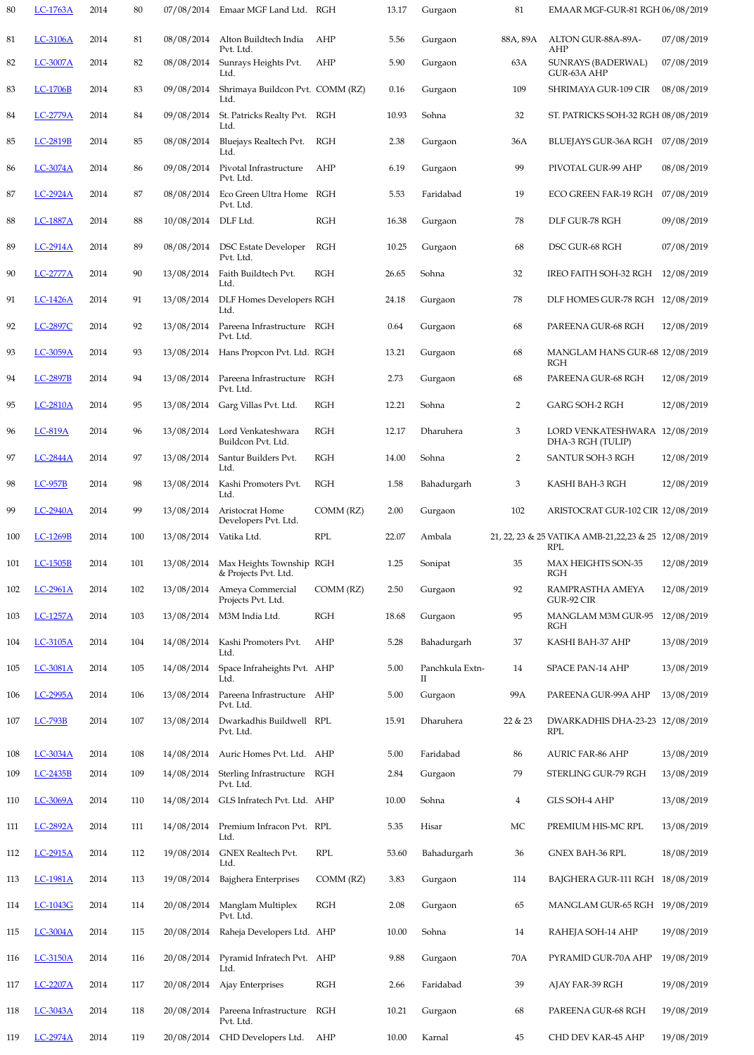| 98  | <b>LC-957B</b>  | 2014 | 98  | 13/08/2014 | Kashi Promoters Pvt.<br>Ltd.                     | <b>RGH</b>  | 1.58  | Bahadı             |
|-----|-----------------|------|-----|------------|--------------------------------------------------|-------------|-------|--------------------|
| 99  | LC-2940A        | 2014 | 99  | 13/08/2014 | Aristocrat Home<br>Developers Pvt. Ltd.          | $COMM$ (RZ) | 2.00  | Gurgac             |
| 100 | LC-1269B        | 2014 | 100 | 13/08/2014 | Vatika Ltd.                                      | <b>RPL</b>  | 22.07 | Ambal              |
| 101 | LC-1505B        | 2014 | 101 | 13/08/2014 | Max Heights Township RGH<br>& Projects Pvt. Ltd. |             | 1.25  | Sonipa             |
| 102 | LC-2961A        | 2014 | 102 | 13/08/2014 | Ameya Commercial<br>Projects Pvt. Ltd.           | COMM (RZ)   | 2.50  | Gurgad             |
| 103 | LC-1257A        | 2014 | 103 | 13/08/2014 | M3M India Ltd.                                   | <b>RGH</b>  | 18.68 | Gurgac             |
| 104 | LC-3105A        | 2014 | 104 | 14/08/2014 | Kashi Promoters Pvt.<br>Ltd.                     | AHP         | 5.28  | Bahadı             |
| 105 | LC-3081A        | 2014 | 105 | 14/08/2014 | Space Infraheights Pvt. AHP<br>Ltd.              |             | 5.00  | Panchk<br>$\rm II$ |
| 106 | LC-2995A        | 2014 | 106 | 13/08/2014 | Pareena Infrastructure<br>Pvt. Ltd.              | AHP         | 5.00  | Gurgac             |
| 107 | <b>LC-793B</b>  | 2014 | 107 | 13/08/2014 | Dwarkadhis Buildwell<br>Pvt. Ltd.                | RPL         | 15.91 | Dharul             |
| 108 | LC-3034A        | 2014 | 108 | 14/08/2014 | Auric Homes Pvt. Ltd.                            | AHP         | 5.00  | Faridal            |
| 109 | LC-2435B        | 2014 | 109 | 14/08/2014 | <b>Sterling Infrastructure</b><br>Pvt. Ltd.      | <b>RGH</b>  | 2.84  | Gurgad             |
| 110 | LC-3069A        | 2014 | 110 | 14/08/2014 | GLS Infratech Pvt. Ltd. AHP                      |             | 10.00 | Sohna              |
| 111 | LC-2892A        | 2014 | 111 | 14/08/2014 | Premium Infracon Pvt. RPL<br>Ltd.                |             | 5.35  | Hisar              |
| 112 | LC-2915A        | 2014 | 112 | 19/08/2014 | <b>GNEX Realtech Pvt.</b><br>Ltd.                | <b>RPL</b>  | 53.60 | Bahad              |
| 113 | <b>LC-1981A</b> | 2014 | 113 | 19/08/2014 | Bajghera Enterprises                             | COMM (RZ)   | 3.83  | Gurga              |
| 114 | LC-1043G        | 2014 | 114 | 20/08/2014 | Manglam Multiplex<br>Pvt. Ltd.                   | <b>RGH</b>  | 2.08  | Gurga              |
| 115 | LC-3004A        | 2014 | 115 | 20/08/2014 | Raheja Developers Ltd. AHP                       |             | 10.00 | Sohna              |
| 116 | <b>LC-3150A</b> | 2014 | 116 | 20/08/2014 | Pyramid Infratech Pvt. AHP<br>Ltd.               |             | 9.88  | Gurga              |
| 117 | LC-2207A        | 2014 | 117 | 20/08/2014 | Ajay Enterprises                                 | <b>RGH</b>  | 2.66  | Farida             |
| 118 | LC-3043A        | 2014 | 118 | 20/08/2014 | Pareena Infrastructure<br>Pvt. Ltd.              | <b>RGH</b>  | 10.21 | Gurga              |
| 119 | LC-2974A        | 2014 | 119 | 20/08/2014 | CHD Developers Ltd.                              | AHP         | 10.00 | Karnal             |